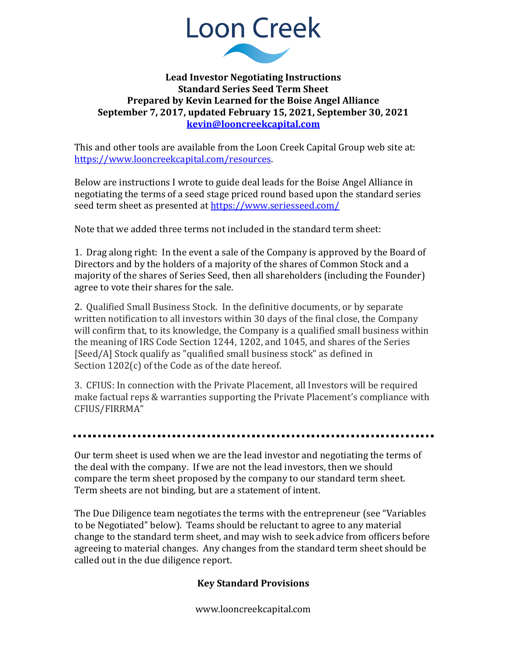

#### **Lead Investor Negotiating Instructions Standard Series Seed Term Sheet Prepared by Kevin Learned for the Boise Angel Alliance September 7, 2017, updated February 15, 2021, September 30, 2021 [kevin@looncreekcapital.com](mailto:kevin@looncreekcapital.com)**

This and other tools are available from the Loon Creek Capital Group web site at: [https://www.looncreekcapital.com/resources.](https://www.looncreekcapital.com/resources)

Below are instructions I wrote to guide deal leads for the Boise Angel Alliance in negotiating the terms of a seed stage priced round based upon the standard series seed term sheet as presented at<https://www.seriesseed.com/>

Note that we added three terms not included in the standard term sheet:

1. Drag along right: In the event a sale of the Company is approved by the Board of Directors and by the holders of a majority of the shares of Common Stock and a majority of the shares of Series Seed, then all shareholders (including the Founder) agree to vote their shares for the sale.

2. Qualified Small Business Stock. In the definitive documents, or by separate written notification to all investors within 30 days of the final close, the Company will confirm that, to its knowledge, the Company is a qualified small business within the meaning of IRS Code Section 1244, 1202, and 1045, and shares of the Series [Seed/A] Stock qualify as "qualified small business stock" as defined in Section 1202(c) of the Code as of the date hereof.

3. CFIUS: In connection with the Private Placement, all Investors will be required make factual reps & warranties supporting the Private Placement's compliance with CFIUS/FIRRMA"

Our term sheet is used when we are the lead investor and negotiating the terms of the deal with the company. If we are not the lead investors, then we should compare the term sheet proposed by the company to our standard term sheet. Term sheets are not binding, but are a statement of intent.

The Due Diligence team negotiates the terms with the entrepreneur (see "Variables to be Negotiated" below). Teams should be reluctant to agree to any material change to the standard term sheet, and may wish to seek advice from officers before agreeing to material changes. Any changes from the standard term sheet should be called out in the due diligence report.

### **Key Standard Provisions**

www.looncreekcapital.com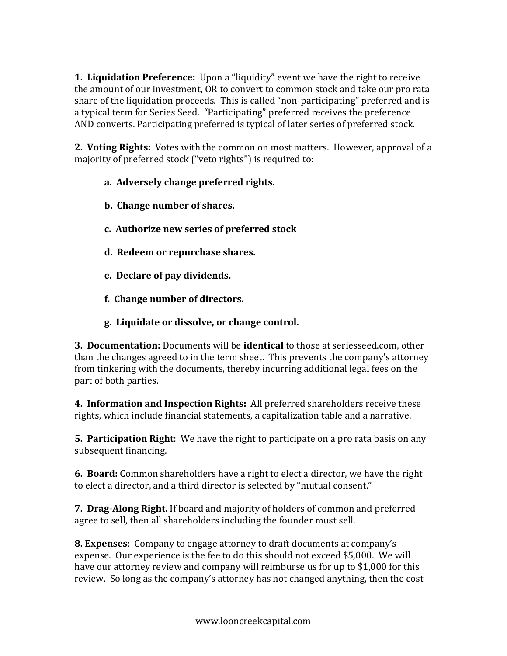**1. Liquidation Preference:** Upon a "liquidity" event we have the right to receive the amount of our investment, OR to convert to common stock and take our pro rata share of the liquidation proceeds. This is called "non-participating" preferred and is a typical term for Series Seed. "Participating" preferred receives the preference AND converts. Participating preferred is typical of later series of preferred stock.

**2. Voting Rights:** Votes with the common on most matters. However, approval of a majority of preferred stock ("veto rights") is required to:

### **a. Adversely change preferred rights.**

- **b. Change number of shares.**
- **c. Authorize new series of preferred stock**
- **d. Redeem or repurchase shares.**
- **e. Declare of pay dividends.**
- **f. Change number of directors.**
- **g. Liquidate or dissolve, or change control.**

**3. Documentation:** Documents will be **identical** to those at seriesseed.com, other than the changes agreed to in the term sheet. This prevents the company's attorney from tinkering with the documents, thereby incurring additional legal fees on the part of both parties.

**4. Information and Inspection Rights:** All preferred shareholders receive these rights, which include financial statements, a capitalization table and a narrative.

**5. Participation Right**: We have the right to participate on a pro rata basis on any subsequent financing.

**6. Board:** Common shareholders have a right to elect a director, we have the right to elect a director, and a third director is selected by "mutual consent."

**7. Drag-Along Right.** If board and majority of holders of common and preferred agree to sell, then all shareholders including the founder must sell.

**8. Expenses**: Company to engage attorney to draft documents at company's expense. Our experience is the fee to do this should not exceed \$5,000. We will have our attorney review and company will reimburse us for up to \$1,000 for this review. So long as the company's attorney has not changed anything, then the cost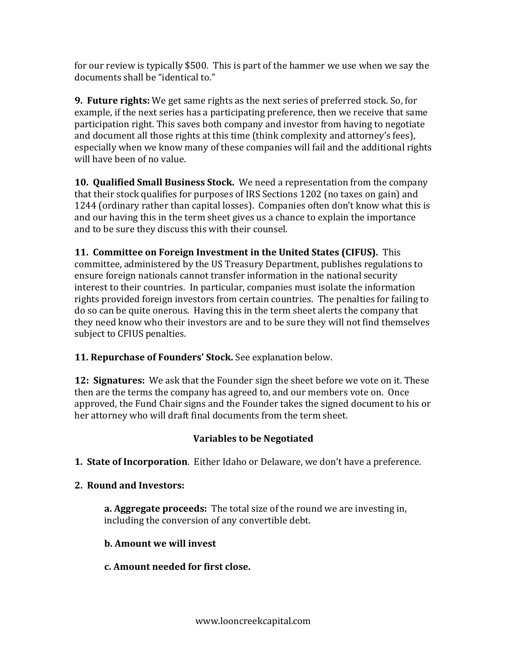for our review is typically \$500. This is part of the hammer we use when we say the documents shall be "identical to."

**9. Future rights:** We get same rights as the next series of preferred stock. So, for example, if the next series has a participating preference, then we receive that same participation right. This saves both company and investor from having to negotiate and document all those rights at this time (think complexity and attorney's fees), especially when we know many of these companies will fail and the additional rights will have been of no value.

**10. Qualified Small Business Stock.** We need a representation from the company that their stock qualifies for purposes of IRS Sections 1202 (no taxes on gain) and 1244 (ordinary rather than capital losses). Companies often don't know what this is and our having this in the term sheet gives us a chance to explain the importance and to be sure they discuss this with their counsel.

**11. Committee on Foreign Investment in the United States (CIFUS).** This committee, administered by the US Treasury Department, publishes regulations to ensure foreign nationals cannot transfer information in the national security interest to their countries. In particular, companies must isolate the information rights provided foreign investors from certain countries. The penalties for failing to do so can be quite onerous. Having this in the term sheet alerts the company that they need know who their investors are and to be sure they will not find themselves subject to CFIUS penalties.

# **11. Repurchase of Founders' Stock.** See explanation below.

**12: Signatures:** We ask that the Founder sign the sheet before we vote on it. These then are the terms the company has agreed to, and our members vote on. Once approved, the Fund Chair signs and the Founder takes the signed document to his or her attorney who will draft final documents from the term sheet.

# **Variables to be Negotiated**

**1. State of Incorporation**. Either Idaho or Delaware, we don't have a preference.

# **2. Round and Investors:**

**a. Aggregate proceeds:** The total size of the round we are investing in, including the conversion of any convertible debt.

### **b. Amount we will invest**

### **c. Amount needed for first close.**